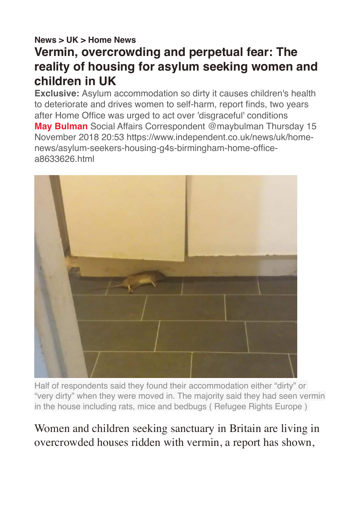## **[News](https://www.independent.co.uk/news) > [UK](https://www.independent.co.uk/news/uk) > [Home News](https://www.independent.co.uk/news/uk/home-news) Vermin, overcrowding and perpetual fear: The reality of housing for asylum seeking women and children in UK**

**Exclusive:** Asylum accommodation so dirty it causes children's health to deteriorate and drives women to self-harm, report finds, two years after Home Office was urged to act over 'disgraceful' conditions **[May Bulman](https://www.independent.co.uk/author/may-bulman)** Social Affairs Correspondent [@maybulman](https://twitter.com/maybulman) Thursday 15 November 2018 20:53 https://www.independent.co.uk/news/uk/homenews/asylum-seekers-housing-g4s-birmingham-home-officea8633626.html



Half of respondents said they found their accommodation either "dirty" or "very dirty" when they were moved in. The majority said they had seen vermin in the house including rats, mice and bedbugs ( Refugee Rights Europe )

Women and children seeking sanctuary in Britain are living in overcrowded houses ridden with vermin, a report has shown,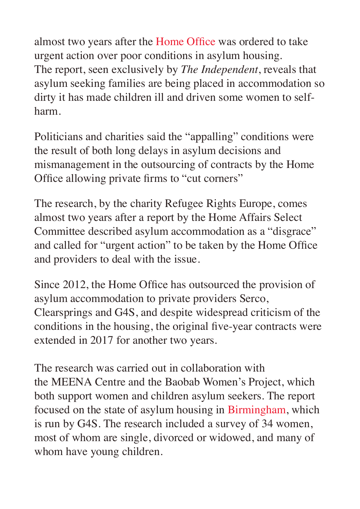almost two years after the [Home Office](https://www.independent.co.uk/topic/Home_Office) was ordered to take urgent action over poor conditions in asylum housing. The report, seen exclusively by *The Independent*, reveals that asylum seeking families are being placed in accommodation so dirty it has made children ill and driven some women to selfharm.

Politicians and charities said the "appalling" conditions were the result of both long delays in asylum decisions and mismanagement in the outsourcing of contracts by the Home Office allowing private firms to "cut corners"

The research, by the charity Refugee Rights Europe, comes almost two years after a report by the Home Affairs Select Committee described asylum accommodation as a "disgrace" and called for "urgent action" to be taken by the Home Office and providers to deal with the issue.

Since 2012, the Home Office has outsourced the provision of asylum accommodation to private providers Serco, Clearsprings and G4S, and despite widespread criticism of the conditions in the housing, the original five-year contracts were extended in 2017 for another two years.

The research was carried out in collaboration with the MEENA Centre and the Baobab Women's Project, which both support women and children asylum seekers. The report focused on the state of asylum housing in [Birmingham,](https://www.independent.co.uk/topic/Birmingham) which is run by G4S. The research included a survey of 34 women, most of whom are single, divorced or widowed, and many of whom have young children.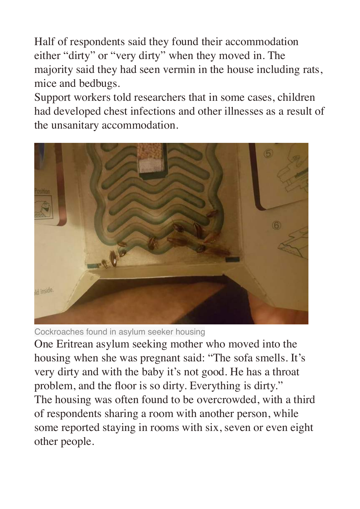Half of respondents said they found their accommodation either "dirty" or "very dirty" when they moved in. The majority said they had seen vermin in the house including rats, mice and bedbugs.

Support workers told researchers that in some cases, children had developed chest infections and other illnesses as a result of the unsanitary accommodation.



Cockroaches found in asylum seeker housing

One Eritrean asylum seeking mother who moved into the housing when she was pregnant said: "The sofa smells. It's very dirty and with the baby it's not good. He has a throat problem, and the floor is so dirty. Everything is dirty." The housing was often found to be overcrowded, with a third of respondents sharing a room with another person, while some reported staying in rooms with six, seven or even eight other people.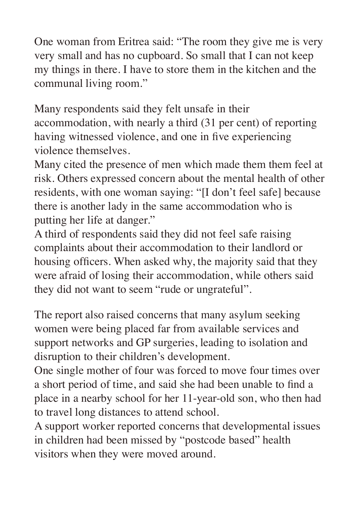One woman from Eritrea said: "The room they give me is very very small and has no cupboard. So small that I can not keep my things in there. I have to store them in the kitchen and the communal living room."

Many respondents said they felt unsafe in their accommodation, with nearly a third (31 per cent) of reporting having witnessed violence, and one in five experiencing violence themselves.

Many cited the presence of men which made them them feel at risk. Others expressed concern about the mental health of other residents, with one woman saying: "[I don't feel safe] because there is another lady in the same accommodation who is putting her life at danger."

A third of respondents said they did not feel safe raising complaints about their accommodation to their landlord or housing officers. When asked why, the majority said that they were afraid of losing their accommodation, while others said they did not want to seem "rude or ungrateful".

The report also raised concerns that many asylum seeking women were being placed far from available services and support networks and GP surgeries, leading to isolation and disruption to their children's development.

One single mother of four was forced to move four times over a short period of time, and said she had been unable to find a place in a nearby school for her 11-year-old son, who then had to travel long distances to attend school.

A support worker reported concerns that developmental issues in children had been missed by "postcode based" health visitors when they were moved around.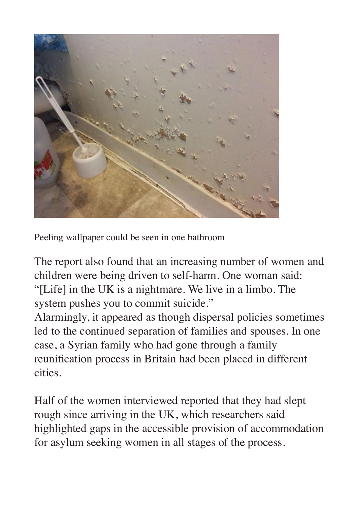

Peeling wallpaper could be seen in one bathroom

The report also found that an increasing number of women and children were being driven to self-harm. One woman said: "[Life] in the UK is a nightmare. We live in a limbo. The system pushes you to commit suicide."

Alarmingly, it appeared as though dispersal policies sometimes led to the continued separation of families and spouses. In one case, a Syrian family who had gone through a family reunification process in Britain had been placed in different cities.

Half of the women interviewed reported that they had slept rough since arriving in the UK, which researchers said highlighted gaps in the accessible provision of accommodation for asylum seeking women in all stages of the process.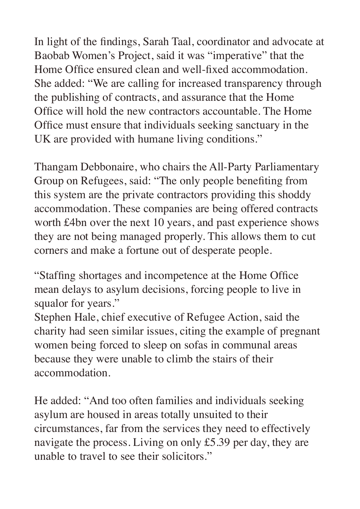In light of the findings, Sarah Taal, coordinator and advocate at Baobab Women's Project, said it was "imperative" that the Home Office ensured clean and well-fixed accommodation. She added: "We are calling for increased transparency through the publishing of contracts, and assurance that the Home Office will hold the new contractors accountable. The Home Office must ensure that individuals seeking sanctuary in the UK are provided with humane living conditions."

Thangam Debbonaire, who chairs the All-Party Parliamentary Group on Refugees, said: "The only people benefiting from this system are the private contractors providing this shoddy accommodation. These companies are being offered contracts worth £4bn over the next 10 years, and past experience shows they are not being managed properly. This allows them to cut corners and make a fortune out of desperate people.

"Staffing shortages and incompetence at the Home Office mean delays to asylum decisions, forcing people to live in squalor for years."

Stephen Hale, chief executive of Refugee Action, said the charity had seen similar issues, citing the example of pregnant women being forced to sleep on sofas in communal areas because they were unable to climb the stairs of their accommodation.

He added: "And too often families and individuals seeking asylum are housed in areas totally unsuited to their circumstances, far from the services they need to effectively navigate the process. Living on only £5.39 per day, they are unable to travel to see their solicitors."